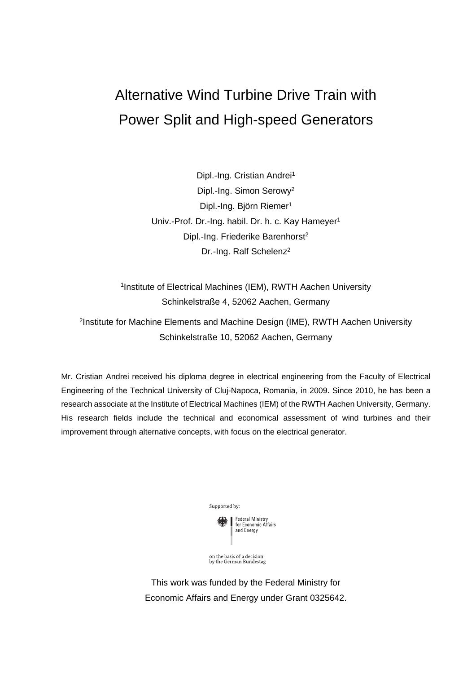# Alternative Wind Turbine Drive Train with Power Split and High-speed Generators

Dipl.-Ing. Cristian Andrei<sup>1</sup> Dipl.-Ing. Simon Serowy2 Dipl.-Ing. Björn Riemer<sup>1</sup> Univ.-Prof. Dr.-Ing. habil. Dr. h. c. Kay Hameyer<sup>1</sup> Dipl.-Ing. Friederike Barenhorst<sup>2</sup> Dr.-Ing. Ralf Schelenz<sup>2</sup>

1Institute of Electrical Machines (IEM), RWTH Aachen University Schinkelstraße 4, 52062 Aachen, Germany

2Institute for Machine Elements and Machine Design (IME), RWTH Aachen University Schinkelstraße 10, 52062 Aachen, Germany

Mr. Cristian Andrei received his diploma degree in electrical engineering from the Faculty of Electrical Engineering of the Technical University of Cluj-Napoca, Romania, in 2009. Since 2010, he has been a research associate at the Institute of Electrical Machines (IEM) of the RWTH Aachen University, Germany. His research fields include the technical and economical assessment of wind turbines and their improvement through alternative concepts, with focus on the electrical generator.



on the basis of a decision<br>by the German Bundestag

This work was funded by the Federal Ministry for Economic Affairs and Energy under Grant 0325642.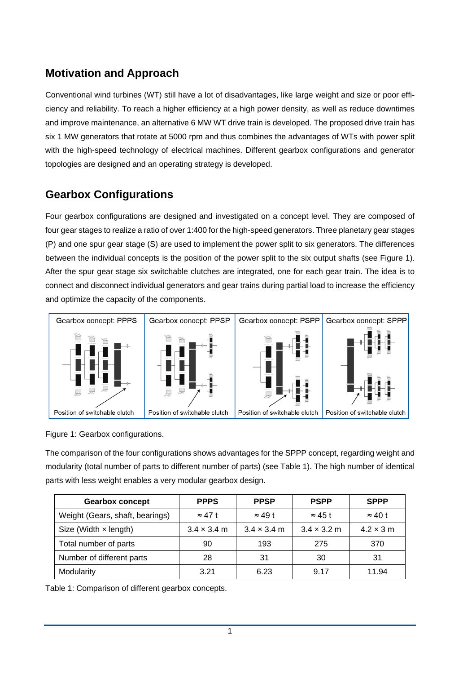## **Motivation and Approach**

Conventional wind turbines (WT) still have a lot of disadvantages, like large weight and size or poor efficiency and reliability. To reach a higher efficiency at a high power density, as well as reduce downtimes and improve maintenance, an alternative 6 MW WT drive train is developed. The proposed drive train has six 1 MW generators that rotate at 5000 rpm and thus combines the advantages of WTs with power split with the high-speed technology of electrical machines. Different gearbox configurations and generator topologies are designed and an operating strategy is developed.

## **Gearbox Configurations**

Four gearbox configurations are designed and investigated on a concept level. They are composed of four gear stages to realize a ratio of over 1:400 for the high-speed generators. Three planetary gear stages (P) and one spur gear stage (S) are used to implement the power split to six generators. The differences between the individual concepts is the position of the power split to the six output shafts (see [Figure 1\)](#page-1-0). After the spur gear stage six switchable clutches are integrated, one for each gear train. The idea is to connect and disconnect individual generators and gear trains during partial load to increase the efficiency and optimize the capacity of the components.

<span id="page-1-0"></span>

Figure 1: Gearbox configurations.

The comparison of the four configurations shows advantages for the SPPP concept, regarding weight and modularity (total number of parts to different number of parts) (see [Table 1\)](#page-1-1). The high number of identical parts with less weight enables a very modular gearbox design.

<span id="page-1-1"></span>

| <b>Gearbox concept</b>          | <b>PPPS</b>                | <b>PPSP</b>                | <b>PSPP</b>                | <b>SPPP</b>      |
|---------------------------------|----------------------------|----------------------------|----------------------------|------------------|
| Weight (Gears, shaft, bearings) | $\approx$ 47 t             | $\approx$ 49 t             | $\approx$ 45 t             | $\approx$ 40 t   |
| Size (Width $\times$ length)    | $3.4 \times 3.4 \text{ m}$ | $3.4 \times 3.4 \text{ m}$ | $3.4 \times 3.2 \text{ m}$ | $4.2 \times 3$ m |
| Total number of parts           | 90                         | 193                        | 275                        | 370              |
| Number of different parts       | 28                         | 31                         | 30                         | 31               |
| Modularity                      | 3.21                       | 6.23                       | 9.17                       | 11.94            |

Table 1: Comparison of different gearbox concepts.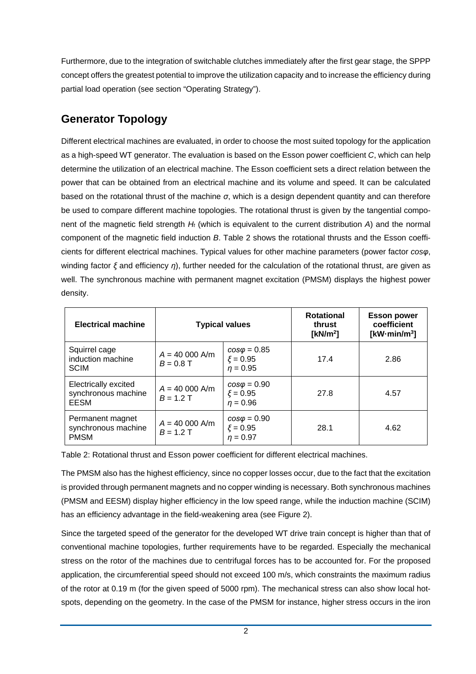Furthermore, due to the integration of switchable clutches immediately after the first gear stage, the SPPP concept offers the greatest potential to improve the utilization capacity and to increase the efficiency during partial load operation (see section ["Operating Strategy"](#page-4-0)).

## <span id="page-2-1"></span>**Generator Topology**

Different electrical machines are evaluated, in order to choose the most suited topology for the application as a high-speed WT generator. The evaluation is based on the Esson power coefficient *C*, which can help determine the utilization of an electrical machine. The Esson coefficient sets a direct relation between the power that can be obtained from an electrical machine and its volume and speed. It can be calculated based on the rotational thrust of the machine *σ*, which is a design dependent quantity and can therefore be used to compare different machine topologies. The rotational thrust is given by the tangential component of the magnetic field strength *Ht* (which is equivalent to the current distribution *A*) and the normal component of the magnetic field induction *B*. [Table 2](#page-2-0) shows the rotational thrusts and the Esson coefficients for different electrical machines. Typical values for other machine parameters (power factor *cosφ*, winding factor *ξ* and efficiency *η*), further needed for the calculation of the rotational thrust, are given as well. The synchronous machine with permanent magnet excitation (PMSM) displays the highest power density.

<span id="page-2-0"></span>

| <b>Electrical machine</b>                              | <b>Typical values</b>          |                                                   | <b>Rotational</b><br>thrust<br>[ $kN/m2$ ] | <b>Esson power</b><br>coefficient<br>[ $kW \cdot min/m^3$ ] |
|--------------------------------------------------------|--------------------------------|---------------------------------------------------|--------------------------------------------|-------------------------------------------------------------|
| Squirrel cage<br>induction machine<br><b>SCIM</b>      | $A = 40000$ A/m<br>$B = 0.8$ T | $cos\varphi = 0.85$<br>$\xi = 0.95$<br>$n = 0.95$ | 17.4                                       | 2.86                                                        |
| Electrically excited<br>synchronous machine<br>EESM    | $A = 40000$ A/m<br>$B = 1.2$ T | $cos\varphi = 0.90$<br>$\xi = 0.95$<br>$n = 0.96$ | 27.8                                       | 4.57                                                        |
| Permanent magnet<br>synchronous machine<br><b>PMSM</b> | $A = 40000$ A/m<br>$B = 1.2 T$ | $cos\varphi = 0.90$<br>$\xi = 0.95$<br>$n = 0.97$ | 28.1                                       | 4.62                                                        |

Table 2: Rotational thrust and Esson power coefficient for different electrical machines.

The PMSM also has the highest efficiency, since no copper losses occur, due to the fact that the excitation is provided through permanent magnets and no copper winding is necessary. Both synchronous machines (PMSM and EESM) display higher efficiency in the low speed range, while the induction machine (SCIM) has an efficiency advantage in the field-weakening area (see [Figure 2\)](#page-3-0).

Since the targeted speed of the generator for the developed WT drive train concept is higher than that of conventional machine topologies, further requirements have to be regarded. Especially the mechanical stress on the rotor of the machines due to centrifugal forces has to be accounted for. For the proposed application, the circumferential speed should not exceed 100 m/s, which constraints the maximum radius of the rotor at 0.19 m (for the given speed of 5000 rpm). The mechanical stress can also show local hotspots, depending on the geometry. In the case of the PMSM for instance, higher stress occurs in the iron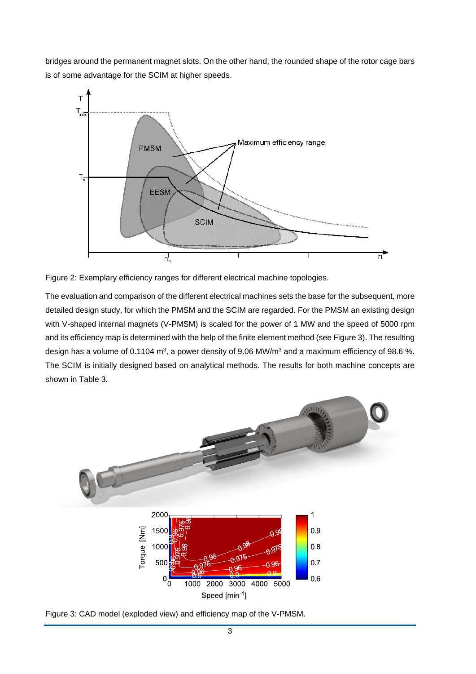bridges around the permanent magnet slots. On the other hand, the rounded shape of the rotor cage bars is of some advantage for the SCIM at higher speeds.



<span id="page-3-0"></span>

The evaluation and comparison of the different electrical machines sets the base for the subsequent, more detailed design study, for which the PMSM and the SCIM are regarded. For the PMSM an existing design with V-shaped internal magnets (V-PMSM) is scaled for the power of 1 MW and the speed of 5000 rpm and its efficiency map is determined with the help of the finite element method (see [Figure 3\)](#page-3-1). The resulting design has a volume of 0.1104  $m^3$ , a power density of 9.06 MW/ $m^3$  and a maximum efficiency of 98.6 %. The SCIM is initially designed based on analytical methods. The results for both machine concepts are shown in [Table 3.](#page-4-1)



<span id="page-3-1"></span>Figure 3: CAD model (exploded view) and efficiency map of the V-PMSM.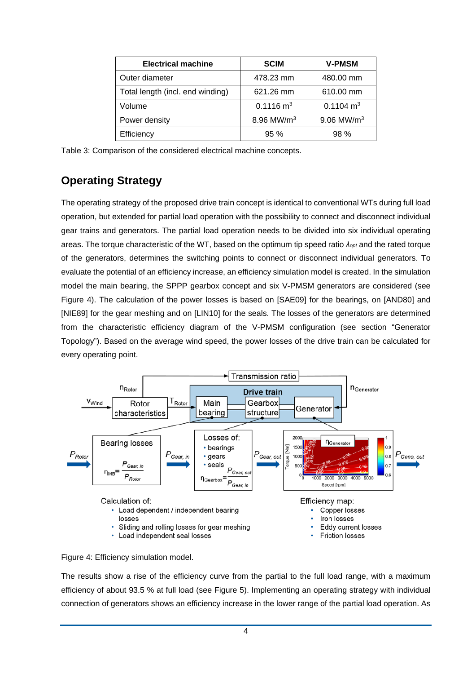| <b>Electrical machine</b>        | <b>SCIM</b>          | <b>V-PMSM</b>            |  |
|----------------------------------|----------------------|--------------------------|--|
| Outer diameter                   | 478.23 mm            | 480.00 mm                |  |
| Total length (incl. end winding) | 621.26 mm            | 610.00 mm                |  |
| Volume                           | $0.1116 \text{ m}^3$ | $0.1104 \text{ m}^3$     |  |
| Power density                    | 8.96 MW/ $m^3$       | $9.06$ MW/m <sup>3</sup> |  |
| Efficiency                       | 95%                  | 98%                      |  |

<span id="page-4-1"></span>Table 3: Comparison of the considered electrical machine concepts.

#### <span id="page-4-0"></span>**Operating Strategy**

The operating strategy of the proposed drive train concept is identical to conventional WTs during full load operation, but extended for partial load operation with the possibility to connect and disconnect individual gear trains and generators. The partial load operation needs to be divided into six individual operating areas. The torque characteristic of the WT, based on the optimum tip speed ratio *λopt* and the rated torque of the generators, determines the switching points to connect or disconnect individual generators. To evaluate the potential of an efficiency increase, an efficiency simulation model is created. In the simulation model the main bearing, the SPPP gearbox concept and six V-PMSM generators are considered (see [Figure 4\)](#page-4-2). The calculation of the power losses is based on [SAE09] for the bearings, on [AND80] and [NIE89] for the gear meshing and on [LIN10] for the seals. The losses of the generators are determined from the characteristic efficiency diagram of the V-PMSM configuration (see section ["Generator](#page-2-1) [Topology"](#page-2-1)). Based on the average wind speed, the power losses of the drive train can be calculated for every operating point.



<span id="page-4-2"></span>

The results show a rise of the efficiency curve from the partial to the full load range, with a maximum efficiency of about 93.5 % at full load (see [Figure 5\)](#page-5-0). Implementing an operating strategy with individual connection of generators shows an efficiency increase in the lower range of the partial load operation. As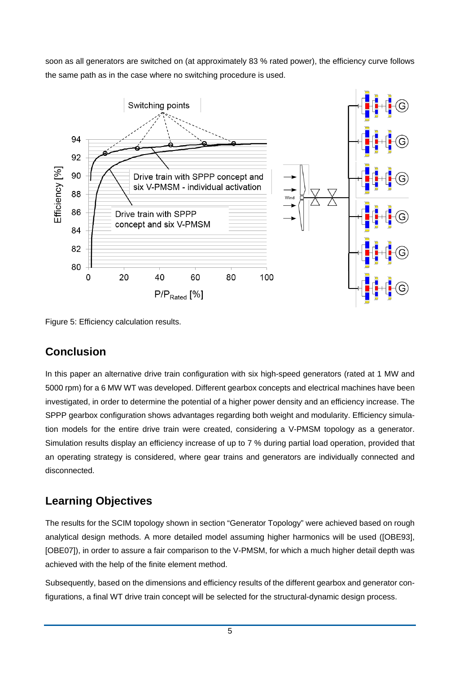soon as all generators are switched on (at approximately 83 % rated power), the efficiency curve follows the same path as in the case where no switching procedure is used.



<span id="page-5-0"></span>Figure 5: Efficiency calculation results.

#### **Conclusion**

In this paper an alternative drive train configuration with six high-speed generators (rated at 1 MW and 5000 rpm) for a 6 MW WT was developed. Different gearbox concepts and electrical machines have been investigated, in order to determine the potential of a higher power density and an efficiency increase. The SPPP gearbox configuration shows advantages regarding both weight and modularity. Efficiency simulation models for the entire drive train were created, considering a V-PMSM topology as a generator. Simulation results display an efficiency increase of up to 7 % during partial load operation, provided that an operating strategy is considered, where gear trains and generators are individually connected and disconnected.

## **Learning Objectives**

The results for the SCIM topology shown in section ["Generator Topology"](#page-2-1) were achieved based on rough analytical design methods. A more detailed model assuming higher harmonics will be used ([OBE93], [OBE07]), in order to assure a fair comparison to the V-PMSM, for which a much higher detail depth was achieved with the help of the finite element method.

Subsequently, based on the dimensions and efficiency results of the different gearbox and generator configurations, a final WT drive train concept will be selected for the structural-dynamic design process.